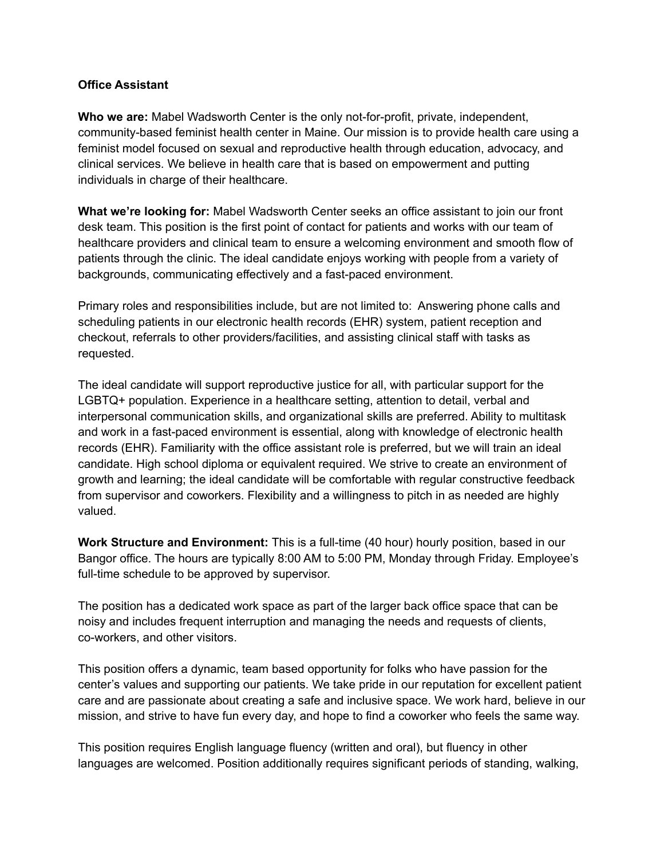## **Office Assistant**

**Who we are:** Mabel Wadsworth Center is the only not-for-profit, private, independent, community-based feminist health center in Maine. Our mission is to provide health care using a feminist model focused on sexual and reproductive health through education, advocacy, and clinical services. We believe in health care that is based on empowerment and putting individuals in charge of their healthcare.

**What we're looking for:** Mabel Wadsworth Center seeks an office assistant to join our front desk team. This position is the first point of contact for patients and works with our team of healthcare providers and clinical team to ensure a welcoming environment and smooth flow of patients through the clinic. The ideal candidate enjoys working with people from a variety of backgrounds, communicating effectively and a fast-paced environment.

Primary roles and responsibilities include, but are not limited to: Answering phone calls and scheduling patients in our electronic health records (EHR) system, patient reception and checkout, referrals to other providers/facilities, and assisting clinical staff with tasks as requested.

The ideal candidate will support reproductive justice for all, with particular support for the LGBTQ+ population. Experience in a healthcare setting, attention to detail, verbal and interpersonal communication skills, and organizational skills are preferred. Ability to multitask and work in a fast-paced environment is essential, along with knowledge of electronic health records (EHR). Familiarity with the office assistant role is preferred, but we will train an ideal candidate. High school diploma or equivalent required. We strive to create an environment of growth and learning; the ideal candidate will be comfortable with regular constructive feedback from supervisor and coworkers. Flexibility and a willingness to pitch in as needed are highly valued.

**Work Structure and Environment:** This is a full-time (40 hour) hourly position, based in our Bangor office. The hours are typically 8:00 AM to 5:00 PM, Monday through Friday. Employee's full-time schedule to be approved by supervisor.

The position has a dedicated work space as part of the larger back office space that can be noisy and includes frequent interruption and managing the needs and requests of clients, co-workers, and other visitors.

This position offers a dynamic, team based opportunity for folks who have passion for the center's values and supporting our patients. We take pride in our reputation for excellent patient care and are passionate about creating a safe and inclusive space. We work hard, believe in our mission, and strive to have fun every day, and hope to find a coworker who feels the same way.

This position requires English language fluency (written and oral), but fluency in other languages are welcomed. Position additionally requires significant periods of standing, walking,